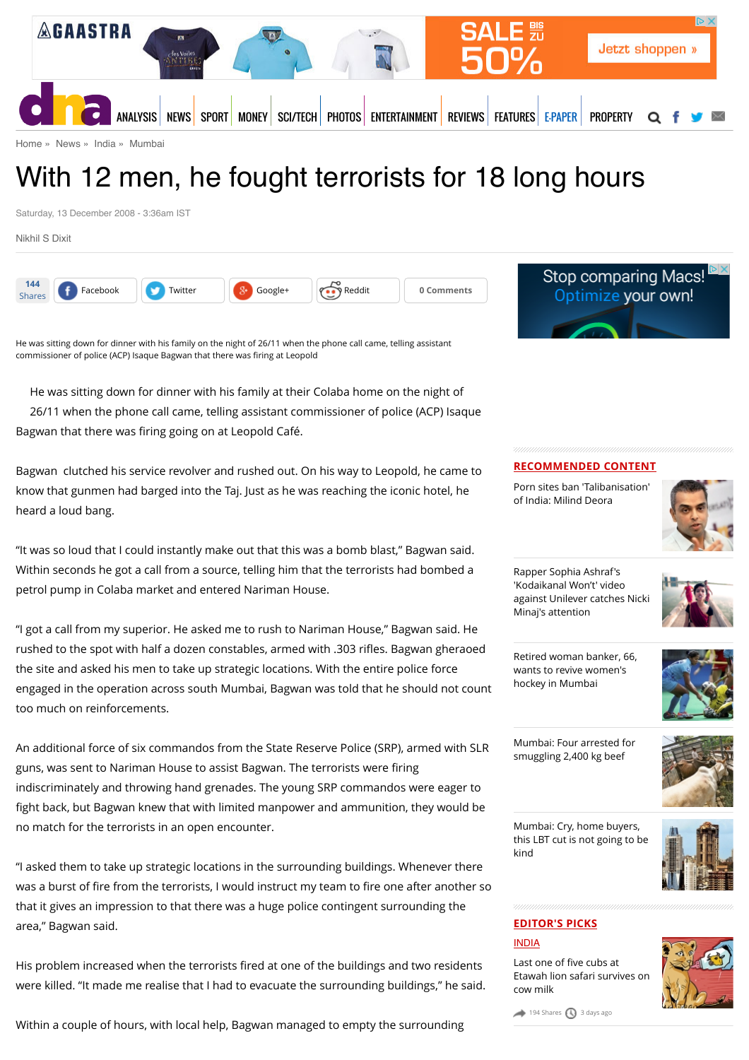

[Home](http://www.dnaindia.com/) » [News](http://www.dnaindia.com/news) » [India](http://www.dnaindia.com/india) » [Mumbai](http://www.dnaindia.com/mumbai)

## With 12 men, he fought terrorists for 18 long hours

Saturday, 13 December 2008 - 3:36am IST

[Nikhil S Dixit](http://www.dnaindia.com/authors/nikhil-s-dixit)





He was sitting down for dinner with his family at their Colaba home on the night of 26/11 when the phone call came, telling assistant commissioner of police (ACP) Isaque Bagwan that there was firing going on at Leopold Café.

Bagwan clutched his service revolver and rushed out. On his way to Leopold, he came to know that gunmen had barged into the Taj. Just as he was reaching the iconic hotel, he heard a loud bang.

"It was so loud that I could instantly make out that this was a bomb blast," Bagwan said. Within seconds he got a call from a source, telling him that the terrorists had bombed a petrol pump in Colaba market and entered Nariman House.

"I got a call from my superior. He asked me to rush to Nariman House," Bagwan said. He rushed to the spot with half a dozen constables, armed with .303 rifles. Bagwan gheraoed the site and asked his men to take up strategic locations. With the entire police force engaged in the operation across south Mumbai, Bagwan was told that he should not count too much on reinforcements.

An additional force of six commandos from the State Reserve Police (SRP), armed with SLR guns, was sent to Nariman House to assist Bagwan. The terrorists were firing indiscriminately and throwing hand grenades. The young SRP commandos were eager to fight back, but Bagwan knew that with limited manpower and ammunition, they would be no match for the terrorists in an open encounter.

"I asked them to take up strategic locations in the surrounding buildings. Whenever there was a burst of fire from the terrorists, I would instruct my team to fire one after another so that it gives an impression to that there was a huge police contingent surrounding the area," Bagwan said.

His problem increased when the terrorists fired at one of the buildings and two residents were killed. "It made me realise that I had to evacuate the surrounding buildings," he said.

Within a couple of hours, with local help, Bagwan managed to empty the surrounding



#### **RECOMMENDED CONTENT**

[Porn sites ban 'Talibanisation'](http://www.dnaindia.com/india/report-porn-sites-ban-talibanisation-of-india-milind-deora-2110734) of India: Milind Deora



Rapper Sophia Ashraf's 'Kodaikanal Won't' video [against Unilever catches Nicki](http://www.dnaindia.com/india/report-rapper-sophia-ashraf-s-kodaikanal-won-t-video-against-unilever-catches-nicki-minaj-s-attention-2110652) Minaj's attention



[Retired woman banker, 66,](http://www.dnaindia.com/mumbai/report-retired-woman-banker-66-wants-to-revive-women-s-hockey-in-mumbai-2110524) wants to revive women's hockey in Mumbai



[Mumbai: Four arrested for](http://www.dnaindia.com/mumbai/report-mumbai-four-arrested-for-smuggling-2400-kg-beef-2110530) smuggling 2,400 kg beef



Mumbai: Cry, home buyers, [this LBT cut is not going to be](http://www.dnaindia.com/mumbai/report-mumbai-cry-home-buyers-this-lbt-cut-is-not-going-to-be-kind-2110471) kind



#### **EDITOR'S PICKS**

#### [INDIA](http://www.dnaindia.com/india)

Last one of five cubs at [Etawah lion safari survives on](http://www.dnaindia.com/india/report-last-one-of-five-cubs-at-etawah-lion-safari-survives-on-cow-milk-2109981) cow milk



 $194$  Shares  $\bigcirc$  [3 days ago](http://www.dnaindia.com/mumbai/report-with-12-men-he-fought-terrorists-for-18-long-hours-1213565#)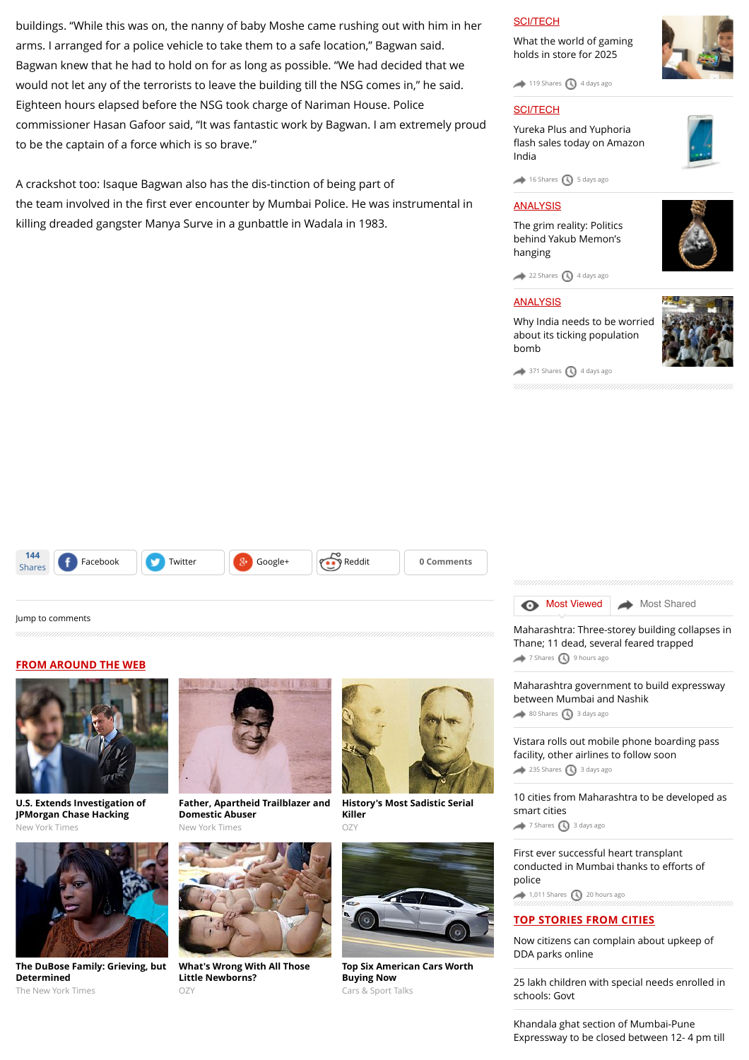buildings. "While this was on, the nanny of baby Moshe came rushing out with him in her arms. I arranged for a police vehicle to take them to a safe location," Bagwan said. Bagwan knew that he had to hold on for as long as possible. "We had decided that we would not let any of the terrorists to leave the building till the NSG comes in," he said. Eighteen hours elapsed before the NSG took charge of Nariman House. Police commissioner Hasan Gafoor said, "It was fantastic work by Bagwan. I am extremely proud to be the captain of a force which is so brave."

A crackshot too: Isaque Bagwan also has the dis-tinction of being part of the team involved in the first ever encounter by Mumbai Police. He was instrumental in killing dreaded gangster Manya Surve in a gunbattle in Wadala in 1983.

#### [SCI/TECH](http://www.dnaindia.com/scitech)

[What the world of gaming](http://www.dnaindia.com/scitech/report-immersion-is-the-name-of-the-game-2109432) holds in store for 2025

 $\rightarrow$  [119 Shares](http://www.dnaindia.com/mumbai/report-with-12-men-he-fought-terrorists-for-18-long-hours-1213565#)  $\bigcirc$  [4 days ago](http://www.dnaindia.com/mumbai/report-with-12-men-he-fought-terrorists-for-18-long-hours-1213565#)

#### **[SCI/TECH](http://www.dnaindia.com/scitech)**

Yureka Plus and Yuphoria fl[ash sales today on Amazon](http://www.dnaindia.com/scitech/report-yureka-plus-and-yuphoria-flash-sales-today-on-amazon-india-2109499) India



 $\rightarrow$  [16 Shares](http://www.dnaindia.com/mumbai/report-with-12-men-he-fought-terrorists-for-18-long-hours-1213565#)  $\bigcirc$  [5 days ago](http://www.dnaindia.com/mumbai/report-with-12-men-he-fought-terrorists-for-18-long-hours-1213565#)

#### [ANALYSIS](http://www.dnaindia.com/analysis)

[The grim reality: Politics](http://www.dnaindia.com/analysis/editorial-the-grim-reality-politics-behind-yakub-memon-s-hanging-2109659) behind Yakub Memon's hanging

 $22$  Shares  $\bigcirc$  [4 days ago](http://www.dnaindia.com/mumbai/report-with-12-men-he-fought-terrorists-for-18-long-hours-1213565#)

#### [ANALYSIS](http://www.dnaindia.com/analysis)

[Why India needs to be worried](http://www.dnaindia.com/analysis/editorial-dnaedit-population-bomb-2109662) about its ticking population bomb



 $371$  Shares  $\bigcirc$  [4 days ago](http://www.dnaindia.com/mumbai/report-with-12-men-he-fought-terrorists-for-18-long-hours-1213565#)



#### [Jump to comments](http://www.dnaindia.com/mumbai/report-with-12-men-he-fought-terrorists-for-18-long-hours-1213565#comments)

#### **FROM AROUND THE WEB**



**[U.S. Extends Investigation of](http://www.nytimes.com/2015/07/29/business/us-extends-bank-breach-investigation.html?WT.mc_id=2015-AUGUST-OTB-INTL_AUD_DEV-0801-0831&WT.mc_ev=click&ad-keywords=IntlAudDev) JPMorgan Chase Hacking** New York Times



**[The DuBose Family: Grieving, but](http://www.nytimes.com/2015/07/31/opinion/charles-blow-the-dubose-family-grieving-but-determined.html?WT.mc_id=2015-AUGUST-OTB-INTL_AUD_DEV-0801-0831&WT.mc_ev=click&ad-keywords=IntlAudDev) Determined** The New York Times



**[Father, Apartheid Trailblazer and](http://kristof.blogs.nytimes.com/2015/07/30/my-father-apartheid-trailblazer-and-domestic-abuser/?WT.mc_id=2015-AUGUST-OTB-INTL_AUD_DEV-0801-0831&WT.mc_ev=click&ad-keywords=IntlAudDev) Domestic Abuser** New York Times



**[What's Wrong With All Those](http://www.ozy.com/acumen/whats-wrong-with-all-those-little-newborns/40384?utm_source=Outbrain&utm_medium=CPC&utm_campaign=INTL%20-%20All%20Clicks%20ALL%20Devices) Little Newborns?** OZY



**[History's Most Sadistic Serial](http://www.ozy.com/flashback/historys-most-sadistic-serial-killer/40585?utm_source=Outbrain&utm_medium=CPC&utm_campaign=INTL%20-%20All%20Clicks%20ALL%20Devices) Killer**  $OZ$ 



**[Top Six American Cars Worth](http://fryerschat.com/top-six-american-cars-worth-buying-now/) Buying Now** Cars & Sport Talks



[Maharashtra: Three-storey building collapses in](http://www.dnaindia.com/mumbai/report-maharashtra-three-storey-building-collapses-in-thane-11-dead-several-feared-trapped-2110890) Thane; 11 dead, several feared trapped [7 Shares](http://www.dnaindia.com/mumbai/report-with-12-men-he-fought-terrorists-for-18-long-hours-1213565#) 1[9 hours ago](http://www.dnaindia.com/mumbai/report-with-12-men-he-fought-terrorists-for-18-long-hours-1213565#)

[Maharashtra government to build expressway](http://www.dnaindia.com/mumbai/report-maharashtra-government-to-build-expressway-between-mumbai-and-nashik-2109935) between Mumbai and Nashik  $\bullet$  [80 Shares](http://www.dnaindia.com/mumbai/report-with-12-men-he-fought-terrorists-for-18-long-hours-1213565#)  $\bigcirc$  [3 days ago](http://www.dnaindia.com/mumbai/report-with-12-men-he-fought-terrorists-for-18-long-hours-1213565#)

[Vistara rolls out mobile phone boarding pass](http://www.dnaindia.com/mumbai/report-vistara-rolls-out-mobile-phone-boarding-pass-facility-other-airlines-to-follow-soon-2109930) facility, other airlines to follow soon [235 Shares](http://www.dnaindia.com/mumbai/report-with-12-men-he-fought-terrorists-for-18-long-hours-1213565#) [3 days ago](http://www.dnaindia.com/mumbai/report-with-12-men-he-fought-terrorists-for-18-long-hours-1213565#)

[10 cities from Maharashtra to be developed as](http://www.dnaindia.com/mumbai/report-10-cities-from-maharashtra-to-be-developed-as-smart-cities-2109979) smart cities [7 Shares](http://www.dnaindia.com/mumbai/report-with-12-men-he-fought-terrorists-for-18-long-hours-1213565#) [3 days ago](http://www.dnaindia.com/mumbai/report-with-12-men-he-fought-terrorists-for-18-long-hours-1213565#)

[First ever successful heart transplant](http://www.dnaindia.com/mumbai/report-first-ever-successful-heart-transplant-conducted-in-mumbai-thanks-to-efforts-of-police-2110832) conducted in Mumbai thanks to efforts of police  $1,011$  Shares  $\bigodot$  [20 hours ago](http://www.dnaindia.com/mumbai/report-with-12-men-he-fought-terrorists-for-18-long-hours-1213565#)

#### **TOP STORIES FROM CITIES**

[Now citizens can complain about upkeep of](http://www.dnaindia.com/delhi/report-now-citizens-can-complain-about-upkeep-of-dda-parks-online-2110992) DDA parks online

[25 lakh children with special needs enrolled in](http://www.dnaindia.com/delhi/report-25-lakh-children-with-special-needs-enrolled-in-schools-govt-2110985) schools: Govt

Khandala ghat section of Mumbai-Pune [Expressway to be closed between 12- 4 pm till](http://www.dnaindia.com/mumbai/report-khandala-ghat-section-of-mumbai-pune-expressway-to-be-closed-from-12-4-pm-till-aug-10-2110914)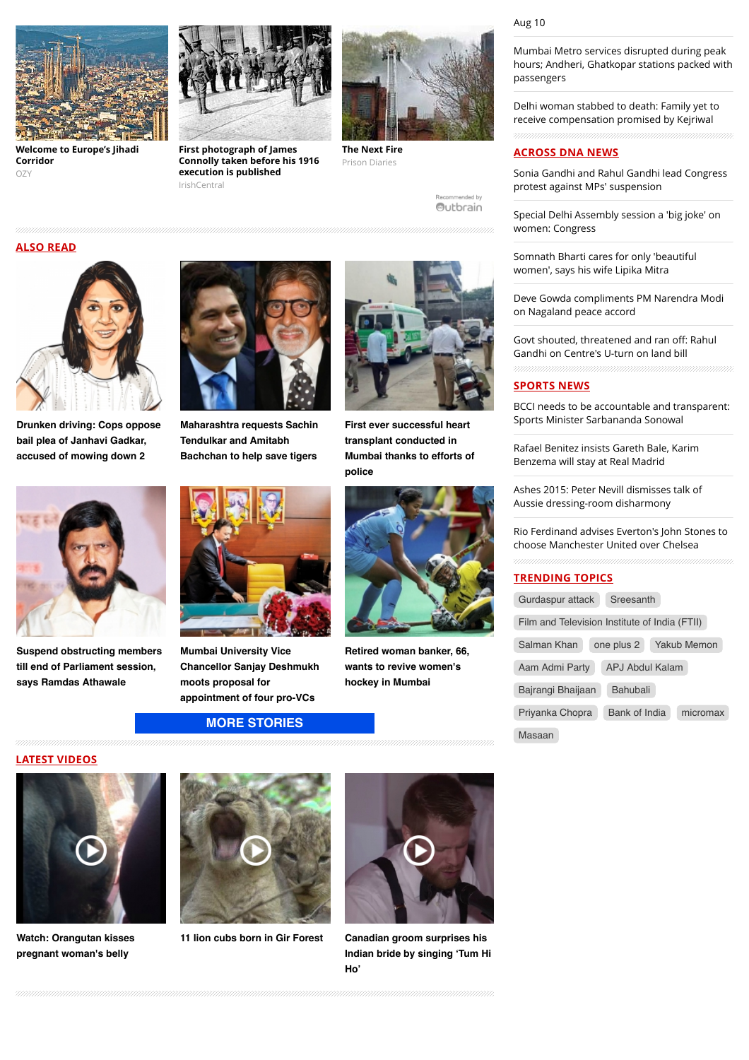

**[Welcome to Europe's Jihadi](http://www.ozy.com/fast-forward/welcome-to-europes-jihadi-corridor/60342?utm_source=Outbrain&utm_medium=CPC&utm_campaign=INTL%20-%20All%20Clicks%20ALL%20Devices) Corridor** OZY



**First photograph of James [Connolly taken before his 1916](http://www.irishcentral.com/roots/history/First-photograph-of-James-Connolly-taken-before-his-1916-execution-is-published.html) execution is published** IrishCentral



**[The Next Fire](http://www.prison-diaries.com/recidivism/the-next-fire)** Prison Diaries

mmended hy Outbrain

# **ALSO READ**



**[Drunken driving: Cops oppose](http://www.dnaindia.com/mumbai/report-drunken-driving-cops-oppose-bail-plea-of-janhavi-gadkar-accused-of-mowing-down-2-2110873) bail plea of Janhavi Gadkar, accused of mowing down 2**



**[Suspend obstructing members](http://www.dnaindia.com/mumbai/report-suspend-obstructing-members-till-end-of-parliament-session-says-ramdas-athawale-2110708) till end of Parliament session, says Ramdas Athawale**



**[Maharashtra requests Sachin](http://www.dnaindia.com/mumbai/report-maharashtra-requests-sachin-tendulkar-and-amitabh-bachchan-to-help-save-tigers-2110838) Tendulkar and Amitabh Bachchan to help save tigers**



**Mumbai University Vice [Chancellor Sanjay Deshmukh](http://www.dnaindia.com/mumbai/report-mumbai-university-vice-chancellor-sanjay-deshmukh-moots-proposal-for-appointment-of-four-pro-vcs-2110578) moots proposal for appointment of four pro-VCs**

#### **[MORE STORIES](http://www.dnaindia.com/mumbai)**



**First ever successful heart transplant conducted in [Mumbai thanks to efforts of](http://www.dnaindia.com/mumbai/report-first-ever-successful-heart-transplant-conducted-in-mumbai-thanks-to-efforts-of-police-2110832) police**



**[Retired woman banker, 66,](http://www.dnaindia.com/mumbai/report-retired-woman-banker-66-wants-to-revive-women-s-hockey-in-mumbai-2110524) wants to revive women's hockey in Mumbai**

[Gandhi on Centre's U-turn on land bill](http://www.dnaindia.com/india/report-govt-shouted-threatened-and-ran-off-says-rahul-gandhi-on-centre-s-u-turn-on-land-bill-2111026)

[BCCI needs to be accountable and transparent:](http://www.dnaindia.com/sport/report-bcci-needs-to-be-accountable-and-transparent-sports-minister-sarbananda-sonowal-2111038) Sports Minister Sarbananda Sonowal

[Rafael Benitez insists Gareth Bale, Karim](http://www.dnaindia.com/sport/report-rafael-benitez-insists-gareth-bale-karim-benzema-will-stay-at-real-madrid-2110989) Benzema will stay at Real Madrid

[Ashes 2015: Peter Nevill dismisses talk of](http://www.dnaindia.com/sport/report-ashes-2015-peter-nevill-dismisses-talk-of-aussie-dressing-room-disharmony-2110984) Aussie dressing-room disharmony

[Rio Ferdinand advises Everton's John Stones to](http://www.dnaindia.com/sport/report-rio-ferdinand-advises-everton-s-john-stones-to-choose-manchester-united-over-chelsea-2110968) choose Manchester United over Chelsea

#### **TRENDING TOPICS**

| Gurdaspur attack                              | Sreesanth            |             |
|-----------------------------------------------|----------------------|-------------|
| Film and Television Institute of India (FTII) |                      |             |
| Salman Khan                                   | one plus 2           | Yakub Memon |
| Aam Admi Party                                | APJ Abdul Kalam      |             |
| Bajrangi Bhaijaan                             | <b>Bahubali</b>      |             |
| Priyanka Chopra                               | <b>Bank of India</b> | micromax    |
| Masaan                                        |                      |             |

#### **LATEST VIDEOS**



**[Watch: Orangutan kisses](http://www.dnaindia.com/world/video-watch-orangutan-kisses-pregnant-woman-s-belly-2109068) pregnant woman's belly**



**[11 lion cubs born in Gir Forest](http://www.dnaindia.com/india/video-11-lion-cubs-born-in-gir-forest-2105493) Canadian groom surprises his**



**[Indian bride by singing 'Tum Hi](http://www.dnaindia.com/world/video-canadian-groom-surprises-his-indian-bride-by-singing-tum-hi-ho-2104831) Ho'**

Mumbai Metro services disrupted during peak [hours; Andheri, Ghatkopar stations packed with](http://www.dnaindia.com/mumbai/report-mumbai-metro-services-disrupted-during-peak-hours-andheri-ghatkopar-stations-packed-with-passengers-2110918) passengers

[Delhi woman stabbed to death: Family yet to](http://www.dnaindia.com/delhi/report-delhi-woman-stabbed-to-death-family-yet-to-receive-compensation-promised-by-kejriwal-2110904) receive compensation promised by Kejriwal

#### **ACROSS DNA NEWS**

[Sonia Gandhi and Rahul Gandhi lead Congress](http://www.dnaindia.com/india/report-sonia-gandhi-and-rahul-gandhi-lead-congress-protest-against-mps-suspension-2111039) protest against MPs' suspension

[Special Delhi Assembly session a 'big joke' on](http://www.dnaindia.com/india/report-special-delhi-assembly-session-a-big-joke-on-women-congress-2111040) women: Congress

[Somnath Bharti cares for only 'beautiful](http://www.dnaindia.com/india/report-somnath-bharti-cares-for-only-beautiful-women-says-his-wife-lipika-mitra-2111045) women', says his wife Lipika Mitra

[Deve Gowda compliments PM Narendra Modi](http://www.dnaindia.com/india/report-deve-gowda-compliments-pm-narendra-modi-on-nagaland-peace-accord-2111025) on Nagaland peace accord

Govt shouted, threatened and ran off: Rahul

### **SPORTS NEWS**